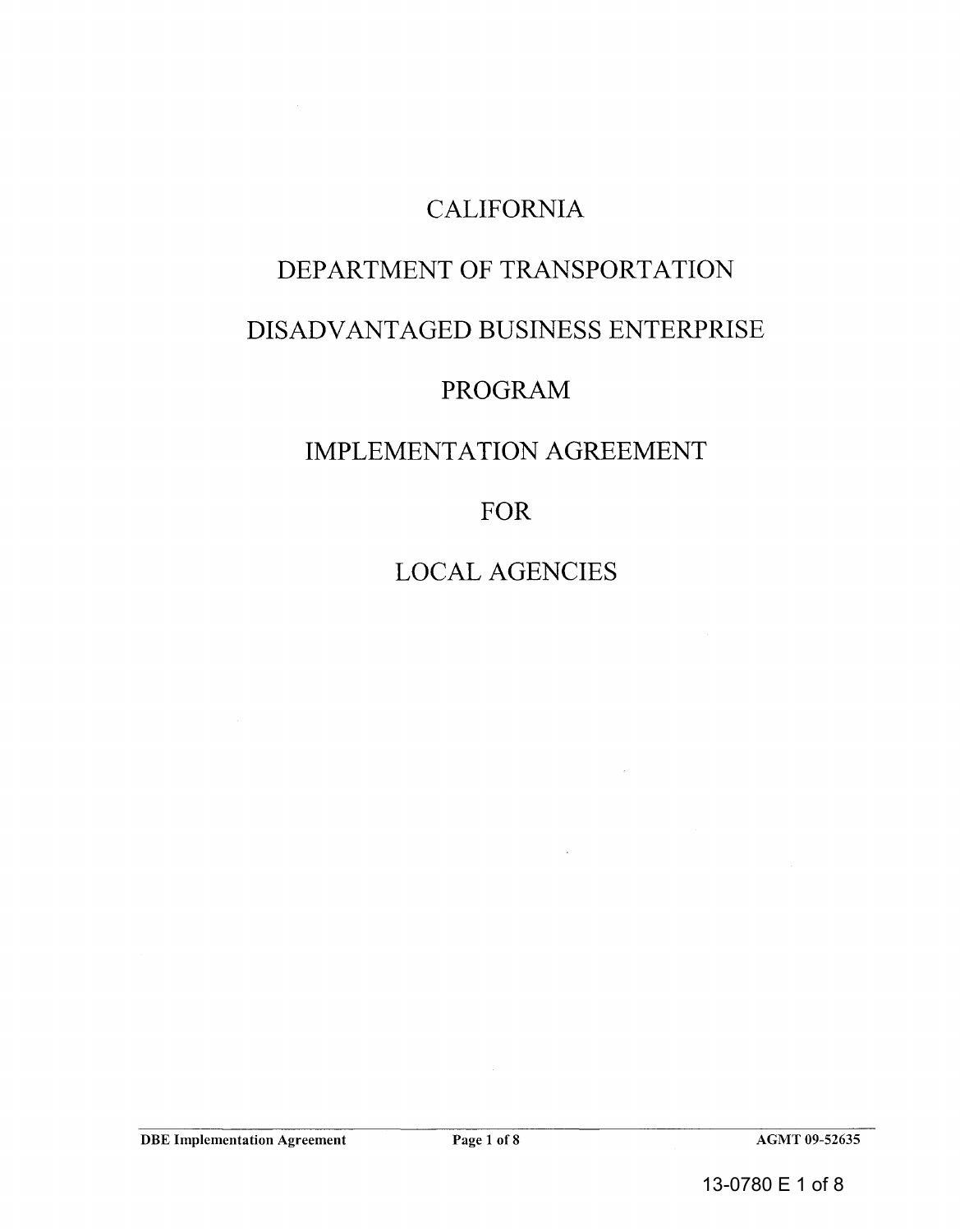## CALIFORNIA

## DEPARTMENT OF TRANSPORTATION

## DISADVANTAGED BUSINESS ENTERPRISE

# ED BUSINESS<br>PROGRAM

## IMPLEMENTATION AGREEMENT

FOR

LOCAL AGENCIES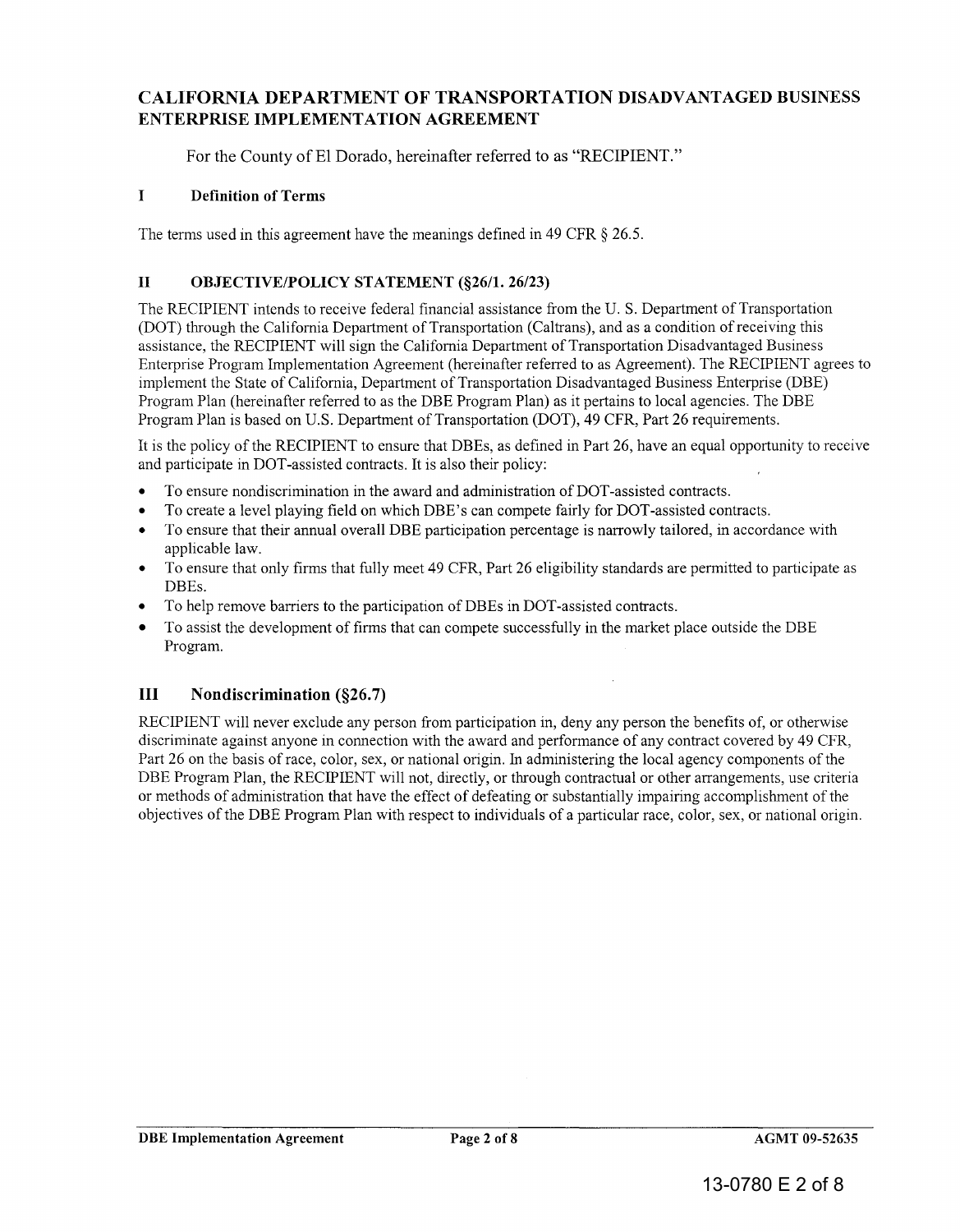### CALIFORNIA DEPARTMENT OF TRANSPORTATION DISADVANTAGED BUSINESS ENTERPRISE IMPLEMENTATION AGREEMENT

For the County of El Dorado, hereinafter referred to as "RECIPIENT."

#### I Definition of Terms

The terms used in this agreement have the meanings defined in 49 CFR  $\S$  26.5.

#### II OBJECTIVE/POLICY STATEMENT (§26/1. 26/23)

The RECIPIENT intends to receive federal financial assistance from the U. S. Department of Transportation (DOT) through the California Department of Transportation (Caltrans), and as a condition of receiving this assistance, the RECIPIENT will sign the California Department of Transportation Disadvantaged Business Enterprise Program Implementation Agreement (hereinafter referred to as Agreement). The RECIPIENT agrees to implement the State of California, Department of Transportation Disadvantaged Business Enterprise (DBE) Program Plan (hereinafter referred to as the DBE Program Plan) as it pertains to local agencies. The DBE Program Plan is based on U.S. Department of Transportation (DOT), 49 CFR, Part 26 requirements. ENTERPRISE IMPLEMENTATION AGREEMENT<br>
For the County of El Dorado, hereinafter referred to as "RECIPIENT."<br>
I<br>
The terms used in this agreement have the meanings defined in 49 CFR § 26.5.<br>
II<br>
OBJECTIVE/POLICY STATEMENT (§2

It is the policy of the RECIPIENT to ensure that DBEs, as defined in Part 26, have an equal opportunity to receive It and participate in DOT-assisted contracts. It is also their policy:

- To ensure nondiscrimination in the award and administration of DOT-assisted contracts.
- To create a level playing field on which DBE's can compete fairly for DOT-assisted contracts.
- To ensure that their annual overall DBE participation percentage is narrowly tailored, in accordance with applicable law.
- To ensure that only firms that fully meet 49 CFR, Part 26 eligibility standards are permitted to participate as DBEs.
- To help remove barriers to the participation of DBEs in DOT-assisted contracts.
- To assist the development of firms that can compete successfully in the market place outside the DBE Program. participate in DOT-assisted contracts. It is also their policy:<br>To ensure nondiscrimination in the award and administration of DOT-<br>To create a level playing field on which DBE's can compete fairly for<br>To ensure that their

#### **Nondiscrimination** (§26.7) **III**

RECIPIENT will never exclude any person from participation in, deny any person the benefits of, or otherwise discriminate against anyone in connection with the award and performance of any contract covered by 49 CFR, Part 26 on the basis of race, color, sex, or national origin. In administering the local agency components of the DBE Program Plan, the RECIPIENT will not, directly, or through contractual or other arrangements, use criteria or methods of administration that have the effect of defeating or substantially impairing accomplishment of the objectives of the DBE Program Plan with respect to individuals of a particular race, color, sex, or national origin. RECIPIENT will never exclude any person from participation in, deny any person the benefits of, or otherwise<br>discriminate against anyone in connection with the award and performance of any contract covered by 49 CFR,<br>Part

 $\bar{\mathcal{A}}$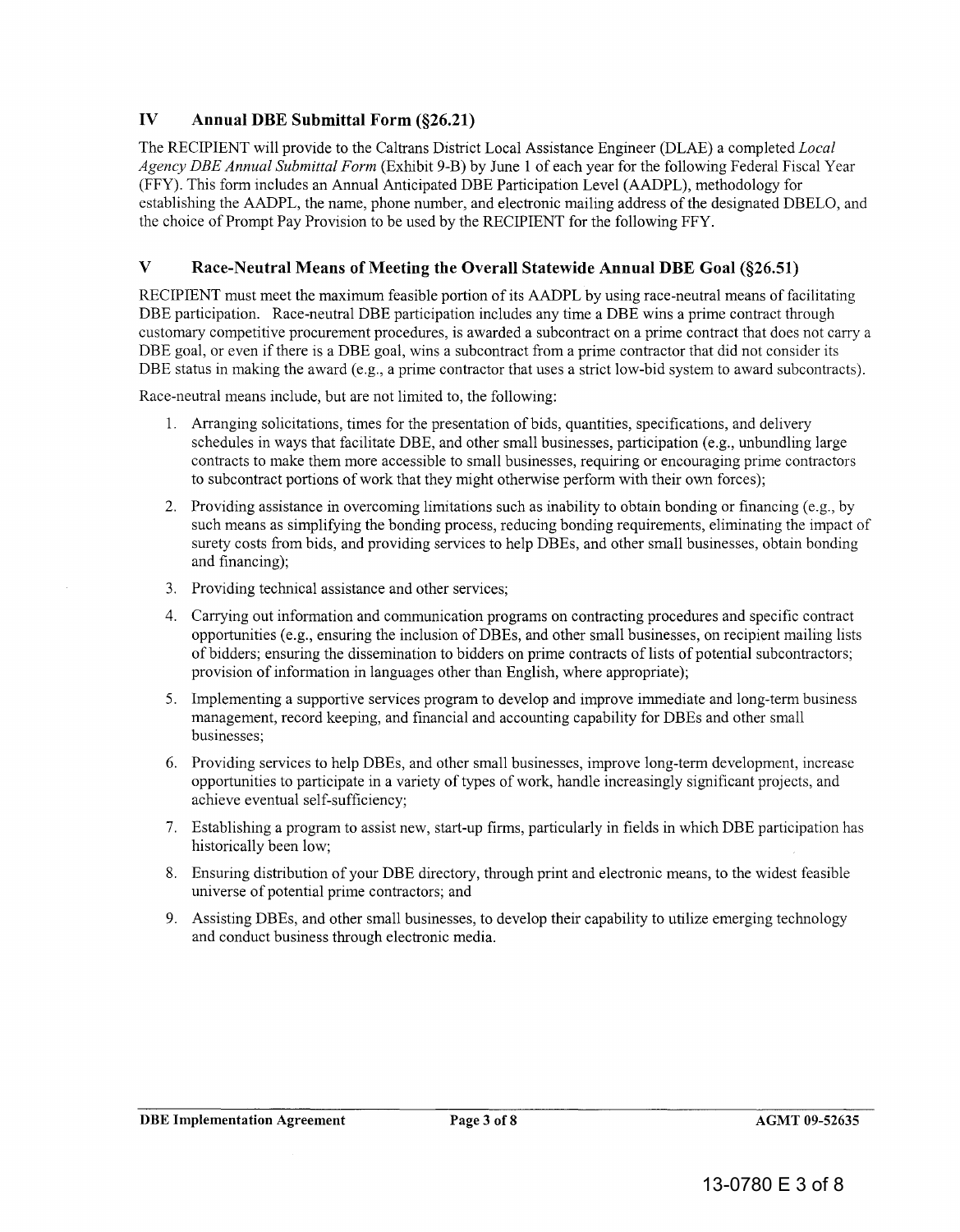#### IV Annual DBE Submittal Form (§26.21)

The RECIPIENT will provide to the Caltrans District Local Assistance Engineer (DLAE) a completed *Local Agency DEE Annual Submittal Form* (Exhibit 9-B) by June 1 of each year for the following Federal Fiscal Year (FFY). This form includes an Annual Anticipated DBE Participation Level (AADPL), methodology for establishing the AADPL, the name, phone number, and electronic mailing address of the designated DBELO, and the choice of Prompt Pay Provision to be used by the RECIPIENT for the following FFY. The RECIPIENT will provide to the Caltrans District Local Assistance Engineer (DLAE) a completed *Local* Agency *DBE Annual Submittal Form* (Exhibit 9-B) by June 1 of each year for the following Federal Fiscal Ye<br>(FFY). Th

#### V Race-Neutral Means of Meeting the Overall Statewide Annual DBE Goal (§26.51)

RECIPIENT must meet the maximum feasible portion of its AADPL by using race-neutral means of facilitating DBE participation. Race-neutral DBE participation includes any time a DBE wins a prime contract through customary competitive procurement procedures, is awarded a subcontract on a prime contract that does not carry a DBE goal, or even if there is a DBE goal, wins a subcontract from a prime contractor that did not consider its DBE status in making the award (e.g., a prime contractor that uses a strict low-bid system to award subcontracts).

Race-neutral means include, but are not limited to, the following:

- 1. Arranging solicitations, times for the presentation of bids, quantities, specifications, and delivery schedules in ways that facilitate DBE, and other small businesses, participation (e.g., unbundling large contracts to make them more accessible to small businesses, requiring or encouraging prime contractors to subcontract portions of work that they might otherwise perform with their own forces);
- 2. Providing assistance in overcoming limitations such as inability to obtain bonding or financing (e.g., by such means as simplifying the bonding process, reducing bonding requirements, eliminating the impact of surety costs from bids, and providing services to help DBEs, and other small businesses, obtain bonding and financing); to subcontract portions of work that they might otherwise perform with their own forces);<br>Providing assistance in overcoming limitations such as inability to obtain bonding or financing (e.g., by<br>such means as simplifying
- 3. Providing technical assistance and other services;
- 4. Carrying out information and communication programs on contracting procedures and specific contract opportunities (e.g., ensuring the inclusion of DBEs, and other small businesses, on recipient mailing lists of bidders; ensuring the dissemination to bidders on prime contracts oflists of potential subcontractors; provision of information in languages other than English, where appropriate);
- 5. Implementing a supportive services program to develop and improve immediate and long-term business management, record keeping, and financial and accounting capability for DBEs and other small businesses;
- 6. Providing services to help DBEs, and other small businesses, improve long-term development, increase opportunities to participate in a variety of types of work, handle increasingly significant projects, and achieve eventual self-sufficiency;
- 7. Establishing a program to assist new, start-up firms, particularly in fields in which DBE participation has historically been low;
- 8. Ensuring distribution of your DBE directory, through print and electronic means, to the widest feasible universe of potential prime contractors; and
- 9. Assisting DBEs, and other small businesses, to develop their capability to utilize emerging technology and conduct business through electronic media.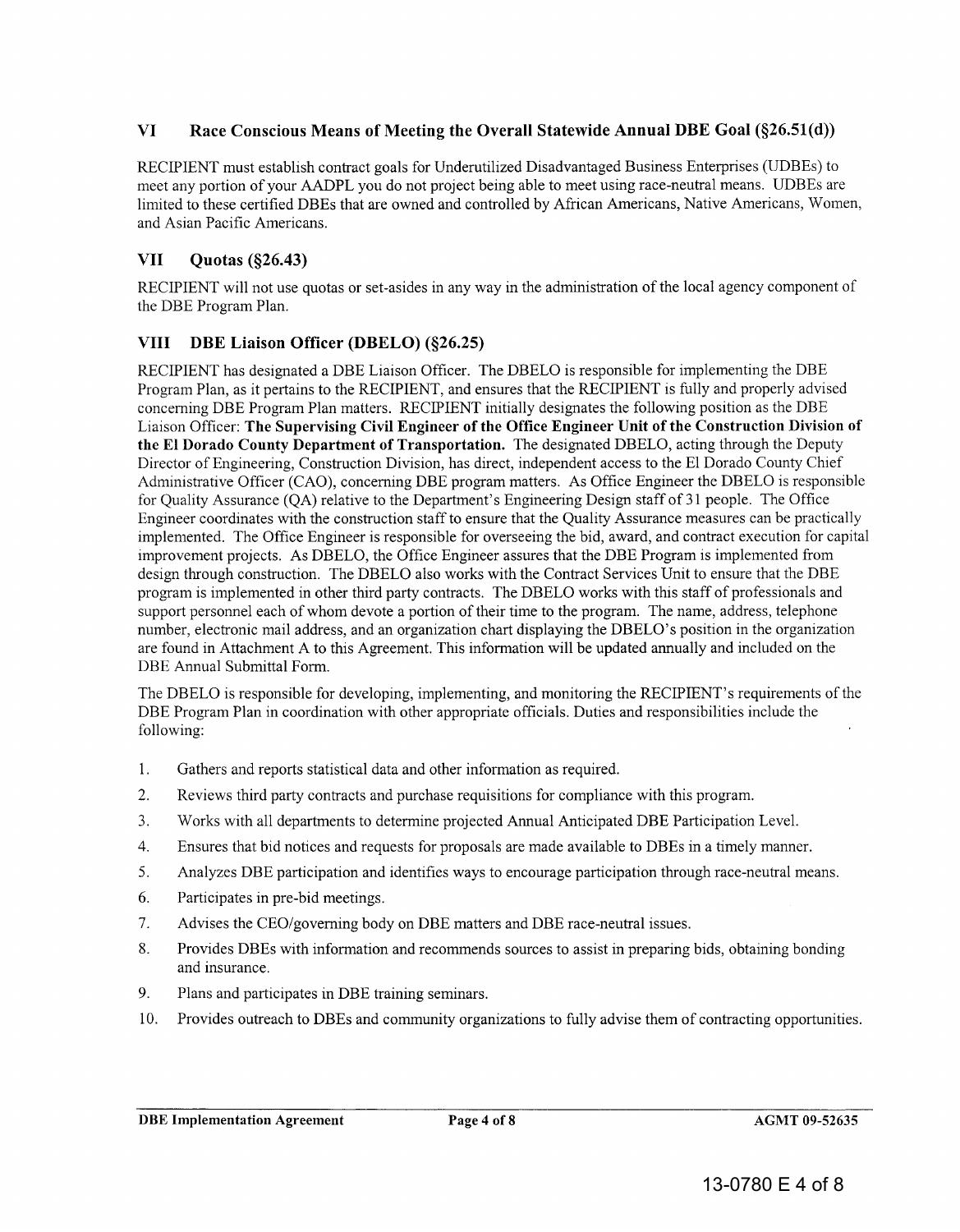#### VI Race Conscious Means of Meeting the Overall Statewide Annual DBE Goal (§26.51(d))

RECIPIENT must establish contract goals for Underutilized Disadvantaged Business Enterprises (UDBEs) to meet any portion of your AADPL you do not project being able to meet using race-neutral means. UDBEs are limited to these certified DBEs that are owned and controlled by African Americans, Native Americans, Women, and Asian Pacific Americans.

#### VII Quotas (§26.43)

RECIPIENT will not use quotas or set-asides in any way in the administration of the local agency component of the DBE Program Plan.

#### VIII DBE Liaison Officer (DBELO) (§26.25)

RECIPIENT has designated a DBE Liaison Officer. The DBELO is responsible for implementing the DBE Program Plan, as it pertains to the RECIPIENT, and ensures that the RECIPIENT is fully and properly advised concerning DBE Program Plan matters. RECIPIENT initially designates the following position as the DBE Liaison Officer: The Supervising Civil Engineer of the Office Engineer Unit of the Construction Division of the EI Dorado County Department of Transportation. The designated DBELO, acting through the Deputy Director of Engineering, Construction Division, has direct, independent access to the EI Dorado County Chief Administrative Officer (CAO), concerning DBE program matters. As Office Engineer the DBELO is responsible for Quality Assurance (QA) relative to the Department's Engineering Design staff of 31 people. The Office Engineer coordinates with the construction staff to ensure that the Quality Assurance measures can be practically implemented. The Office Engineer is responsible for overseeing the bid, award, and contract execution for capital improvement projects. As DBELO, the Office Engineer assures that the DBE Program is implemented from design through construction. The DBELO also works with the Contract Services Unit to ensure that the DBE program is implemented in other third party contracts. The DBELO works with this staff of professionals and support personnel each of whom devote a portion of their time to the program. The name, address, telephone number, electronic mail address, and an organization chart displaying the DBELO's position in the organization are found in Attachment A to this Agreement. This information will be updated annually and included on the DBE Annual Submittal Form. VI Race Conscious Means of Meeting the Overall Statewide Annual DBE Goal (§26.51(d))<br>ReCIPIENT must establish controlle goals for Underultinged Disadvantaged Business Enterprises (UDBEs (controlled by African Americans, Na

The DBELO is responsible for developing, implementing, and monitoring the RECIPIENT's requirements of the DBE Program Plan in coordination with other appropriate officials. Duties and responsibilities include the following:

- 1. Gathers and reports statistical data and other information as required.
- 2. Reviews third party contracts and purchase requisitions for compliance with this program.
- 3. Works with all departments to determine projected Annual Anticipated DBE Participation Level.
- 4. Ensures that bid notices and requests for proposals are made available to DBEs in a timely manner.
- 5. Analyzes DBE participation and identifies ways to encourage participation through race-neutral means.
- 6. Participates in pre-bid meetings.
- 7. Advises the CEO/governing body on DBE matters and DBE race-neutral issues.
- 8. Provides DBEs with information and recommends sources to assist in preparing bids, obtaining bonding and insurance.
- 9. Plans and participates in DBE training seminars.
- 10. Provides outreach to DBEs and community organizations to fully advise them of contracting opportunities.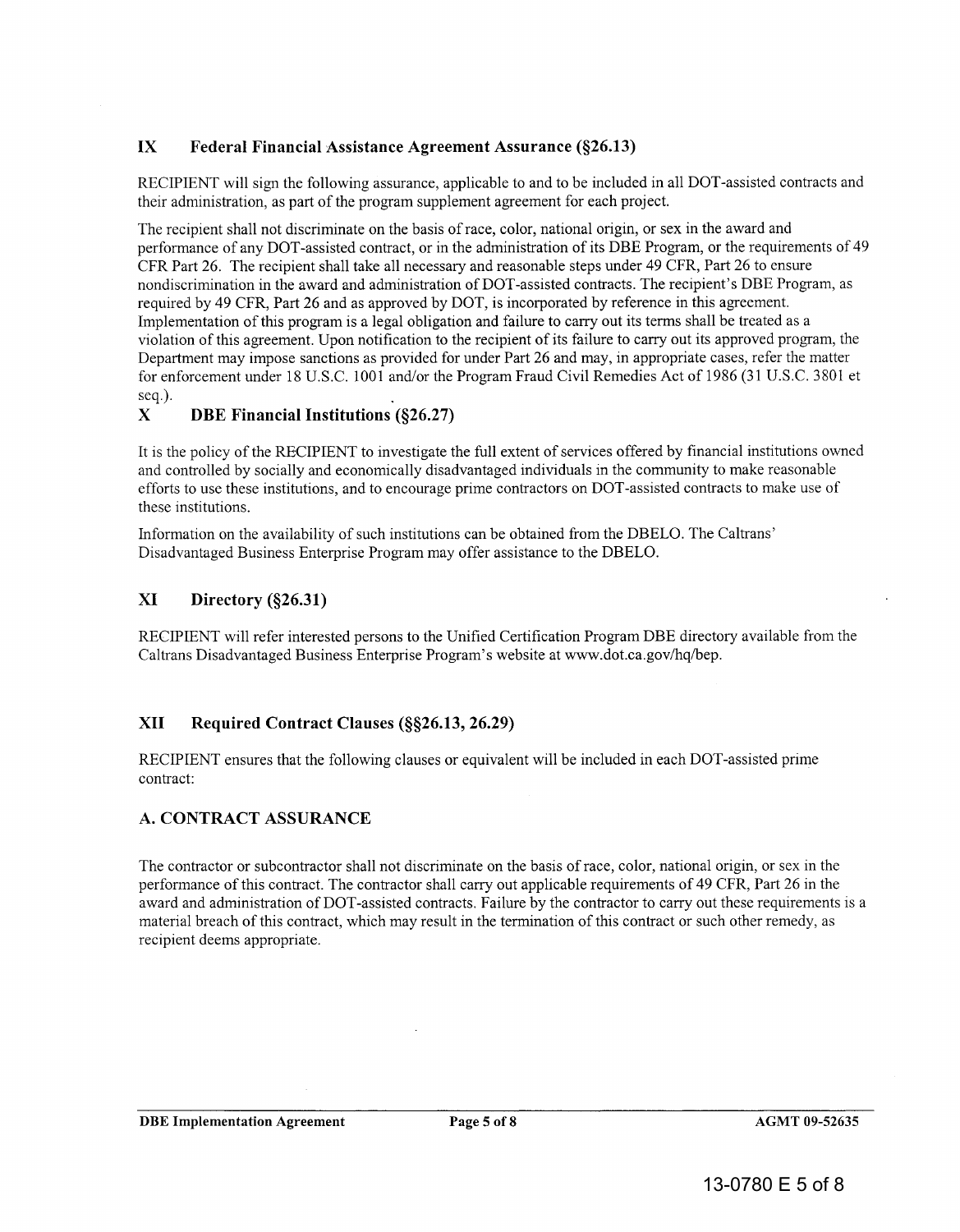#### **IX Federal Financial Assistance Agreement Assurance (§26.13)**

RECIPIENT will sign the following assurance, applicable to and to be included in all DOT -assisted contracts and their administration, as part of the program supplement agreement for each project.

The recipient shall not discriminate on the basis of race, color, national origin, or sex in the award and performance of any DOT -assisted contract, or in the administration of its DBE Program, or the requirements of 49 CFR Part 26. The recipient shall take all necessary and reasonable steps under 49 CFR, Part 26 to ensure nondiscrimination in the award and administration of DOT-assisted contracts. The recipient's DBE Program, as required by 49 CFR, Part 26 and as approved by DOT, is incorporated by reference in this agreement. Implementation of this program is a legal obligation and failure to carry out its terms shall be treated as a violation of this agreement. Upon notification to the recipient of its failure to carry out its approved program, the Department may impose sanctions as provided for under Part 26 and may, in appropriate cases, refer the matter for enforcement under 18 U.S.C. 1001 and/or the Program Fraud Civil Remedies Act of 1986 (31 U.S.c. 3801 et seq.). performance of any DOT-assisted contract, or in the administration of its DBE Program, or the requirements of 49<br>CFR Part 26. The recipient shall take all necessary and reasonable steps under 49 CFR, Part 26 to ensure<br>nond

#### **X DBE Financial Institutions (§26.27)**

It is the policy of the RECIPIENT to investigate the full extent of services offered by financial institutions owned and controlled by socially and economically disadvantaged individuals in the community to make reasonable efforts to use these institutions, and to encourage prime contractors on DOT -assisted contracts to make use of these institutions.

Information on the availability of such institutions can be obtained from the DBELO. The Caltrans' Disadvantaged Business Enterprise Program may offer assistance to the DBELO.

#### **XI Directory (§26.31)**

RECIPIENT will refer interested persons to the Unified Certification Program DBE directory available from the Caltrans Disadvantaged Business Enterprise Program's website at www.dot.ca.gov/hqlbep.

#### **XII Required Contract Clauses (§§26.13, 26.29)**

RECIPIENT ensures that the following clauses or equivalent will be included in each DOT -assisted prime contract:

#### **A. CONTRACT ASSURANCE**

The contractor or subcontractor shall not discriminate on the basis of race, color, national origin, or sex in the performance of this contract. The contractor shall carry out applicable requirements of 49 CFR, Part 26 in the award and administration of DOT -assisted contracts. Failure by the contractor to carry out these requirements is a material breach of this contract, which may result in the termination of this contract or such other remedy, as recipient deems appropriate. It is the policy of the RECIPENT to investigate the full extent of services offred by timacial institutions owner<br>and controlled by socially and economically disadvantaged individuals in the community to make reasonable<br>e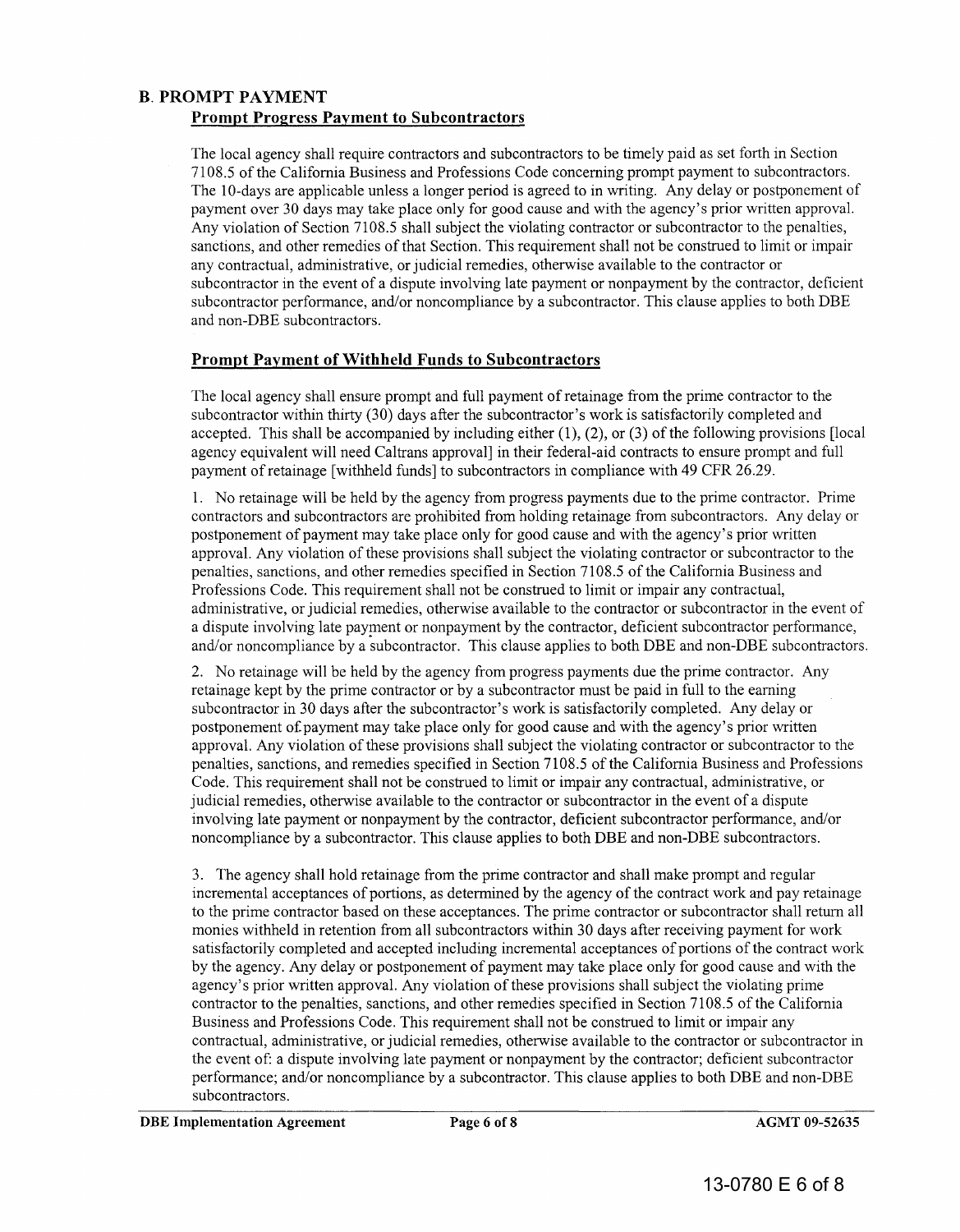#### B. PROMPT PAYMENT Prompt Progress Payment to Subcontractors

The local agency shall require contractors and subcontractors to be timely paid as set forth in Section 7108.5 of the California Business and Professions Code concerning prompt payment to subcontractors. The 10-days are applicable unless a longer period is agreed to in writing. Any delay or postponement of payment over 30 days may take place only for good cause and with the agency's prior written approval. Any violation of Section 7108.5 shall subject the violating contractor or subcontractor to the penalties, sanctions, and other remedies of that Section. This requirement shall not be construed to limit or impair any contractual, administrative, or judicial remedies, otherwise available to the contractor or subcontractor in the event of a dispute involving late payment or nonpayment by the contractor, deficient subcontractor performance, and/or noncompliance by a subcontractor. This clause applies to both DBE and non-DBE subcontractors. 7108.5 of the California Business and Professions Code concerning prompt payment to subcontractors.<br>The 10-days are applicable unless a longer period is agreed to in writing. Any delay or postponement of<br>payment over 30 da

#### Prompt Payment of Withheld Funds to Subcontractors

The local agency shall ensure prompt and full payment of retainage from the prime contractor to the subcontractor within thirty (30) days after the subcontractor's work is satisfactorily completed and accepted. This shall be accompanied by including either  $(1)$ ,  $(2)$ , or  $(3)$  of the following provisions [local agency equivalent will need Caltrans approval] in their federal-aid contracts to ensure prompt and full payment of retain age [withheld funds] to subcontractors in compliance with 49 CFR 26.29.

1. No retainage will be held by the agency from progress payments due to the prime contractor. Prime contractors and subcontractors are prohibited from holding retainage from subcontractors. Any delay or postponement of payment may take place only for good cause and with the agency's prior written approval. Any violation of these provisions shall subject the violating contractor or subcontractor to the penalties, sanctions, and other remedies specified in Section 7108.5 of the California Business and Professions Code. This requirement shall not be construed to limit or impair any contractual, payment of retainage [withheld funds] to subcontractors in compliance with 49 CFR 26.29.<br>1. No retainage will be held by the agency from progress payments due to the prime contractor. Prime<br>contractors and subcontractors a a dispute involving late payment or nonpayment by the contractor, deficient subcontractor performance, and/or noncompliance by a subcontractor. This clause applies to both DBE and non-DBE subcontractors.

2. No retainage will be held by the agency from progress payments due the prime contractor. Any retainage kept by the prime contractor or by a subcontractor must be paid in full to the earning subcontractor in 30 days after the subcontractor's work is satisfactorily completed. Any delay or postponement o£payment may take place only for good cause and with the agency's prior written approval. Any violation of these provisions shall subject the violating contractor or subcontractor to the penalties, sanctions, and remedies specified in Section 7108.5 of the California Business and Professions Code. This requirement shall not be construed to limit or impair any contractual, administrative, or judicial remedies, otherwise available to the contractor or subcontractor in the event of a dispute involving late payment or nonpayment by the contractor, deficient subcontractor performance, and/or noncompliance by a subcontractor. This clause applies to both DBE and non-DBE subcontractors.

3. The agency shall hold retainage from the prime contractor and shall make prompt and regular incremental acceptances of portions, as determined by the agency of the contract work and pay retainage to the prime contractor based on these acceptances. The prime contractor or subcontractor shall return all monies withheld in retention from all subcontractors within 30 days after receiving payment for work satisfactorily completed and accepted including incremental acceptances of portions of the contract work by the agency. Any delay or postponement of payment may take place only for good cause and with the agency's prior written approval. Any violation of these provisions shall subject the violating prime contractor to the penalties, sanctions, and other remedies specified in Section 7108.5 of the California Business and Professions Code. This requirement shall not be construed to limit or impair any contractual, administrative, or judicial remedies, otherwise available to the contractor or subcontractor in the event of: a dispute involving late payment or nonpayment by the contractor; deficient subcontractor performance; and/or noncompliance by a subcontractor. This clause applies to both DBE and non-DBE subcontractors. and/or noncompliance by a subcontractor. This clause applies to both DBE and non-DBE subcontractors.<br>
2. No retainage will be held by the agency from progress payments due the prime contractor. Any<br>subcontractor in 30 days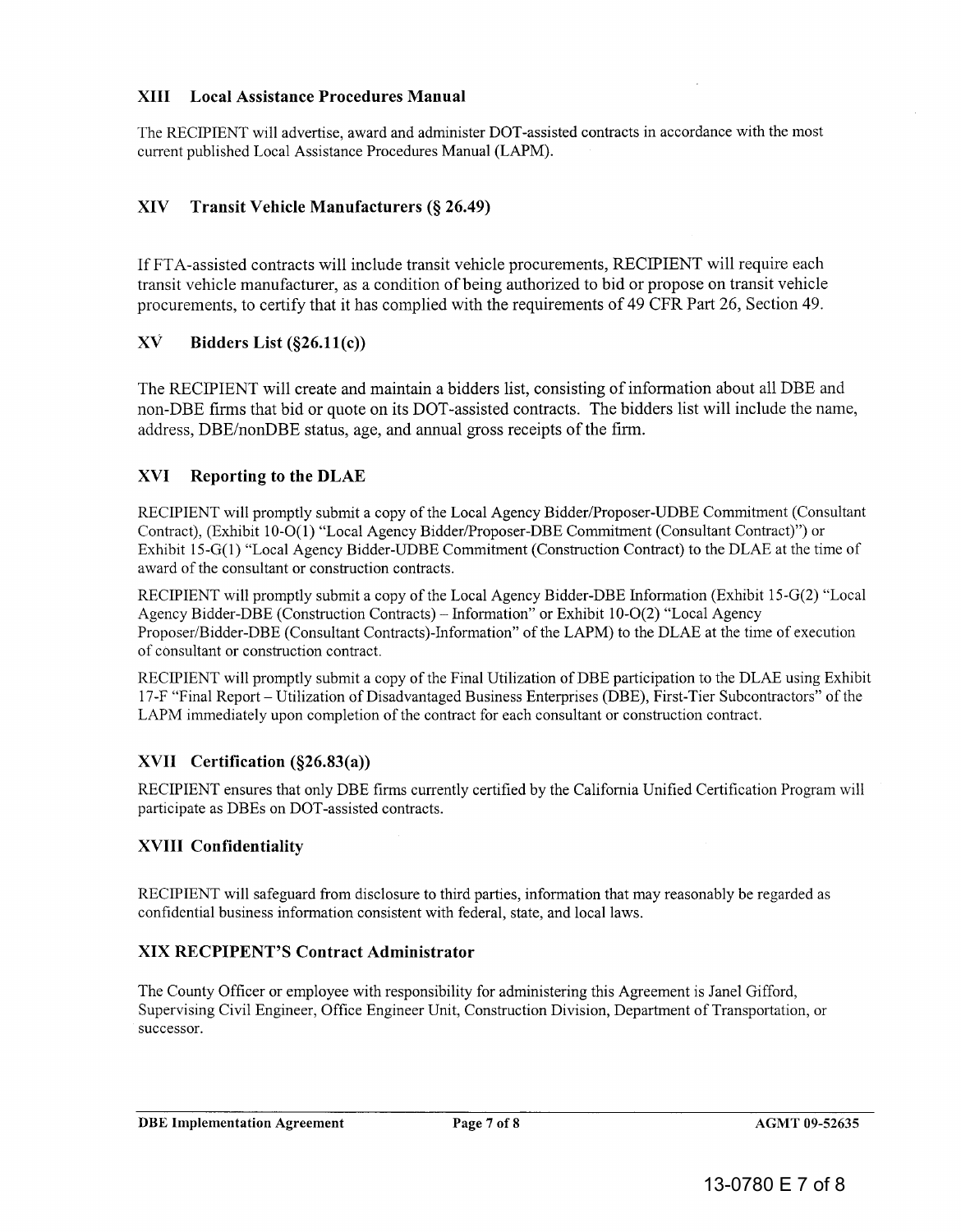#### XIII Local Assistance Procedures Manual

The RECIPIENT will advertise, award and administer DOT -assisted contracts in accordance with the most current published Local Assistance Procedures Manual (LAPM).

#### XIV Transit Vehicle Manufacturers (§ 26.49)

If FT A -assisted contracts will include transit vehicle procurements, RECIPIENT will require each transit vehicle manufacturer, as a condition of being authorized to bid or propose on transit vehicle procurements, to certify that it has complied with the requirements of 49 CFR Part 26, Section 49. The RECIPIENT will advertise, award and administer DOT-assisted contracts in accordance with the most<br>current published Local Assistance Procedures Manual (LAPM).<br>XIV Transit Vehicle Manufacturers (§ 26.49)<br>If FTA-assisted

#### $X\dot{V}$  Bidders List (§26.11(c))

The RECIPIENT will create and maintain a bidders list, consisting of information about all DBE and non-DBE firms that bid or quote on its DOT-assisted contracts. The bidders list will include the name, address, DBE/nonDBE status, age, and annual gross receipts of the firm.<br>XVI Reporting to the DLAE address, *DBE/nonDBE* status, age, and annual gross receipts of the firm.

#### XVI Reporting to the DLAE

RECIPIENT will promptly submit a copy of the Local Agency Bidder/Proposer-UDBE Commitment (Consultant Contract), (Exhibit 10-O(1) "Local Agency Bidder/Proposer-DBE Commitment (Consultant Contract)") or Exhibit IS-G(1) "Local Agency Bidder-UDBE Commitment (Construction Contract) to the DLAE at the time of Exhibit IS-G(1) "Local Agency Bidder-UDBE Commitment (Construction Contract) to the DLAE at the time of award of the consultant or construction contracts.

RECIPIENT will promptly submit a copy of the Local Agency Bidder-DBE Information (Exhibit IS-G(2) "Local Agency Bidder-DBE (Construction Contracts) – Information" or Exhibit 10-O(2) "Local Agency Proposer/Bidder-DBE (Consultant Contracts)-Information" of the LAPM) to the DLAE at the time of execution of consultant or construction contract.

RECIPIENT will promptly submit a copy of the Final Utilization of DBE participation to the DLAE using Exhibit 17-F "Final Report – Utilization of Disadvantaged Business Enterprises (DBE), First-Tier Subcontractors" of the<br>LAPM immediately upon completion of the contract for each consultant or construction contract. LAPM immediately upon completion of the contract for each consultant or construction contract.

#### XVII Certification (§26.83(a))

RECIPIENT ensures that only DBE firms currently certified by the California Unified Certification Program will<br>participate as DBEs on DOT-assisted contracts. participate as DBEs on DOT -assisted contracts.

#### XVIII Confidentiality

RECIPIENT will safeguard from disclosure to third parties, information that may reasonably be regarded as RECIPIENT will safeguard from disclosure to third parties, information that may reasonably be regarded confidential business information consistent with federal, state, and local laws.

#### XIX RECPIPENT'S Contract Administrator

The County Officer or employee with responsibility for administering this Agreement is Janel Gifford, The County Officer or employee with responsibility for administering this Agreement is Janel Gifford,<br>Supervising Civil Engineer, Office Engineer Unit, Construction Division, Department of Transportation, or successor.